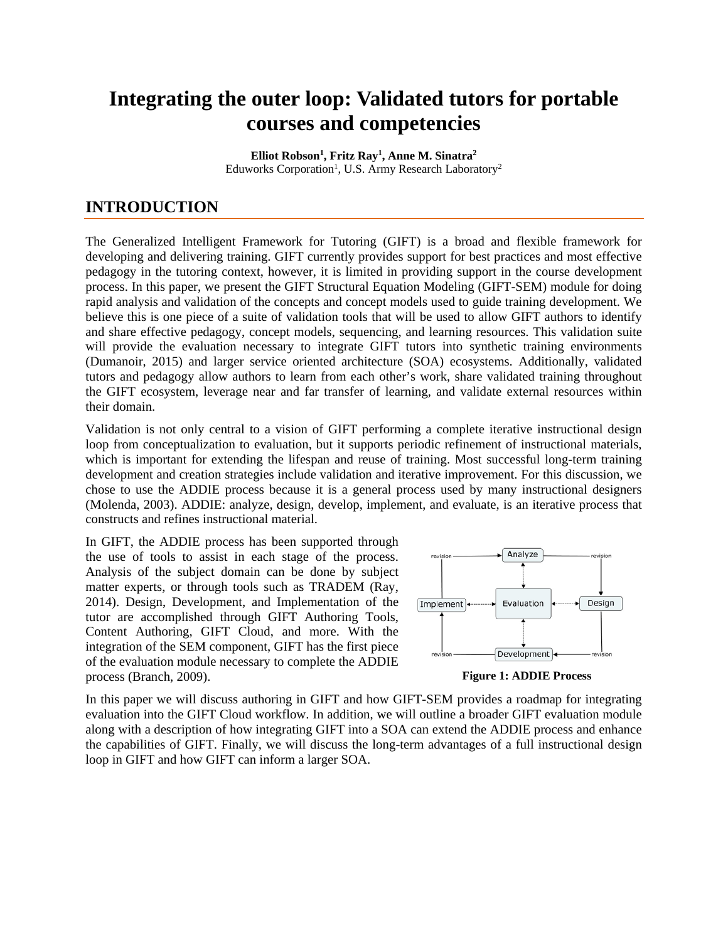# **Integrating the outer loop: Validated tutors for portable courses and competencies**

**Elliot Robson1 , Fritz Ray1 , Anne M. Sinatra2** Eduworks Corporation<sup>1</sup>, U.S. Army Research Laboratory<sup>2</sup>

## **INTRODUCTION**

The Generalized Intelligent Framework for Tutoring (GIFT) is a broad and flexible framework for developing and delivering training. GIFT currently provides support for best practices and most effective pedagogy in the tutoring context, however, it is limited in providing support in the course development process. In this paper, we present the GIFT Structural Equation Modeling (GIFT-SEM) module for doing rapid analysis and validation of the concepts and concept models used to guide training development. We believe this is one piece of a suite of validation tools that will be used to allow GIFT authors to identify and share effective pedagogy, concept models, sequencing, and learning resources. This validation suite will provide the evaluation necessary to integrate GIFT tutors into synthetic training environments (Dumanoir, 2015) and larger service oriented architecture (SOA) ecosystems. Additionally, validated tutors and pedagogy allow authors to learn from each other's work, share validated training throughout the GIFT ecosystem, leverage near and far transfer of learning, and validate external resources within their domain.

Validation is not only central to a vision of GIFT performing a complete iterative instructional design loop from conceptualization to evaluation, but it supports periodic refinement of instructional materials, which is important for extending the lifespan and reuse of training. Most successful long-term training development and creation strategies include validation and iterative improvement. For this discussion, we chose to use the ADDIE process because it is a general process used by many instructional designers (Molenda, 2003). ADDIE: analyze, design, develop, implement, and evaluate, is an iterative process that constructs and refines instructional material.

In GIFT, the ADDIE process has been supported through the use of tools to assist in each stage of the process. Analysis of the subject domain can be done by subject matter experts, or through tools such as TRADEM (Ray, 2014). Design, Development, and Implementation of the tutor are accomplished through GIFT Authoring Tools, Content Authoring, GIFT Cloud, and more. With the integration of the SEM component, GIFT has the first piece of the evaluation module necessary to complete the ADDIE process (Branch, 2009).



**Figure 1: ADDIE Process**

In this paper we will discuss authoring in GIFT and how GIFT-SEM provides a roadmap for integrating evaluation into the GIFT Cloud workflow. In addition, we will outline a broader GIFT evaluation module along with a description of how integrating GIFT into a SOA can extend the ADDIE process and enhance the capabilities of GIFT. Finally, we will discuss the long-term advantages of a full instructional design loop in GIFT and how GIFT can inform a larger SOA.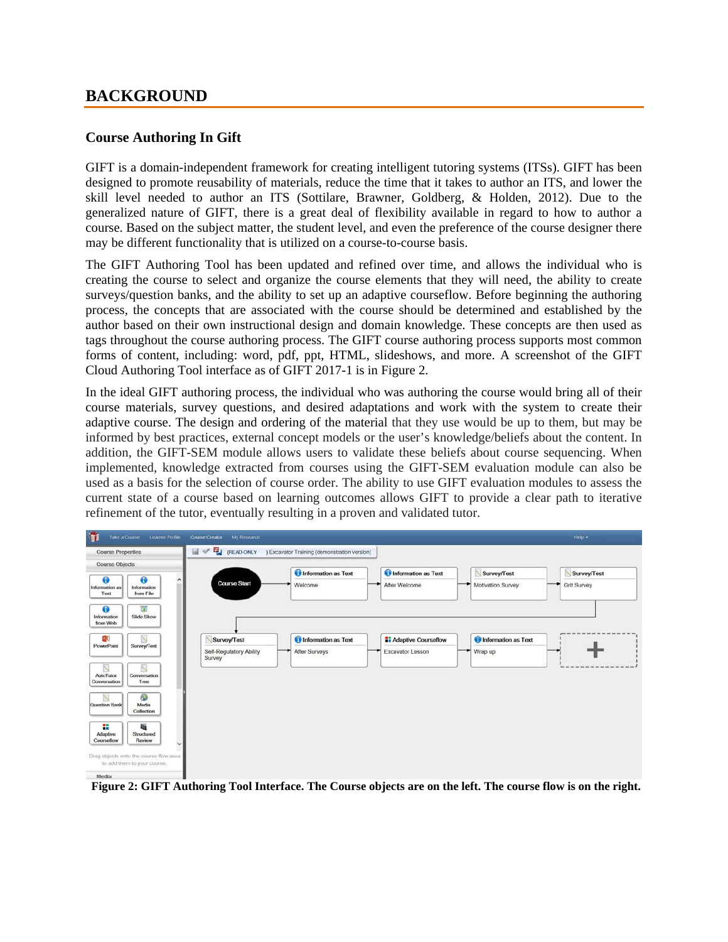### **BACKGROUND**

### **Course Authoring In Gift**

GIFT is a domain-independent framework for creating intelligent tutoring systems (ITSs). GIFT has been designed to promote reusability of materials, reduce the time that it takes to author an ITS, and lower the skill level needed to author an ITS (Sottilare, Brawner, Goldberg, & Holden, 2012). Due to the generalized nature of GIFT, there is a great deal of flexibility available in regard to how to author a course. Based on the subject matter, the student level, and even the preference of the course designer there may be different functionality that is utilized on a course-to-course basis.

The GIFT Authoring Tool has been updated and refined over time, and allows the individual who is creating the course to select and organize the course elements that they will need, the ability to create surveys/question banks, and the ability to set up an adaptive courseflow. Before beginning the authoring process, the concepts that are associated with the course should be determined and established by the author based on their own instructional design and domain knowledge. These concepts are then used as tags throughout the course authoring process. The GIFT course authoring process supports most common forms of content, including: word, pdf, ppt, HTML, slideshows, and more. A screenshot of the GIFT Cloud Authoring Tool interface as of GIFT 2017-1 is in Figure 2.

In the ideal GIFT authoring process, the individual who was authoring the course would bring all of their course materials, survey questions, and desired adaptations and work with the system to create their adaptive course. The design and ordering of the material that they use would be up to them, but may be informed by best practices, external concept models or the user's knowledge/beliefs about the content. In addition, the GIFT-SEM module allows users to validate these beliefs about course sequencing. When implemented, knowledge extracted from courses using the GIFT-SEM evaluation module can also be used as a basis for the selection of course order. The ability to use GIFT evaluation modules to assess the current state of a course based on learning outcomes allows GIFT to provide a clear path to iterative refinement of the tutor, eventually resulting in a proven and validated tutor.



**Figure 2: GIFT Authoring Tool Interface. The Course objects are on the left. The course flow is on the right.**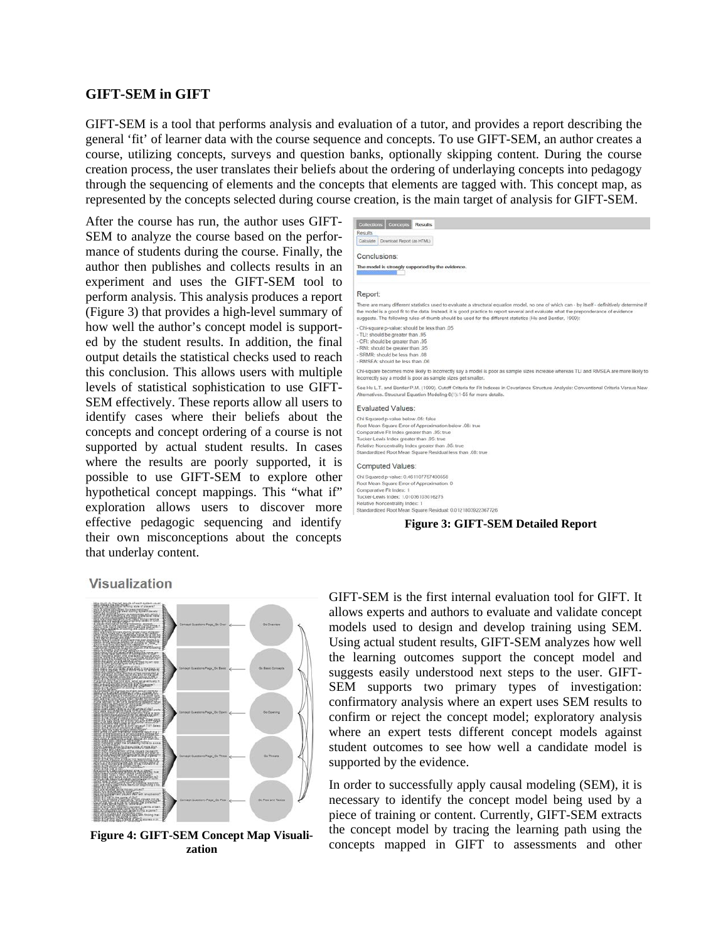#### **GIFT-SEM in GIFT**

GIFT-SEM is a tool that performs analysis and evaluation of a tutor, and provides a report describing the general 'fit' of learner data with the course sequence and concepts. To use GIFT-SEM, an author creates a course, utilizing concepts, surveys and question banks, optionally skipping content. During the course creation process, the user translates their beliefs about the ordering of underlaying concepts into pedagogy through the sequencing of elements and the concepts that elements are tagged with. This concept map, as represented by the concepts selected during course creation, is the main target of analysis for GIFT-SEM.

After the course has run, the author uses GIFT-SEM to analyze the course based on the performance of students during the course. Finally, the author then publishes and collects results in an experiment and uses the GIFT-SEM tool to perform analysis. This analysis produces a report (Figure 3) that provides a high-level summary of how well the author's concept model is supported by the student results. In addition, the final output details the statistical checks used to reach this conclusion. This allows users with multiple levels of statistical sophistication to use GIFT-SEM effectively. These reports allow all users to identify cases where their beliefs about the concepts and concept ordering of a course is not supported by actual student results. In cases where the results are poorly supported, it is possible to use GIFT-SEM to explore other hypothetical concept mappings. This "what if" exploration allows users to discover more effective pedagogic sequencing and identify their own misconceptions about the concepts that underlay content.



#### Visualization



**Figure 4: GIFT-SEM Concept Map Visualization**

GIFT-SEM is the first internal evaluation tool for GIFT. It allows experts and authors to evaluate and validate concept models used to design and develop training using SEM. Using actual student results, GIFT-SEM analyzes how well the learning outcomes support the concept model and suggests easily understood next steps to the user. GIFT-SEM supports two primary types of investigation: confirmatory analysis where an expert uses SEM results to confirm or reject the concept model; exploratory analysis where an expert tests different concept models against student outcomes to see how well a candidate model is supported by the evidence.

In order to successfully apply causal modeling (SEM), it is necessary to identify the concept model being used by a piece of training or content. Currently, GIFT-SEM extracts the concept model by tracing the learning path using the concepts mapped in GIFT to assessments and other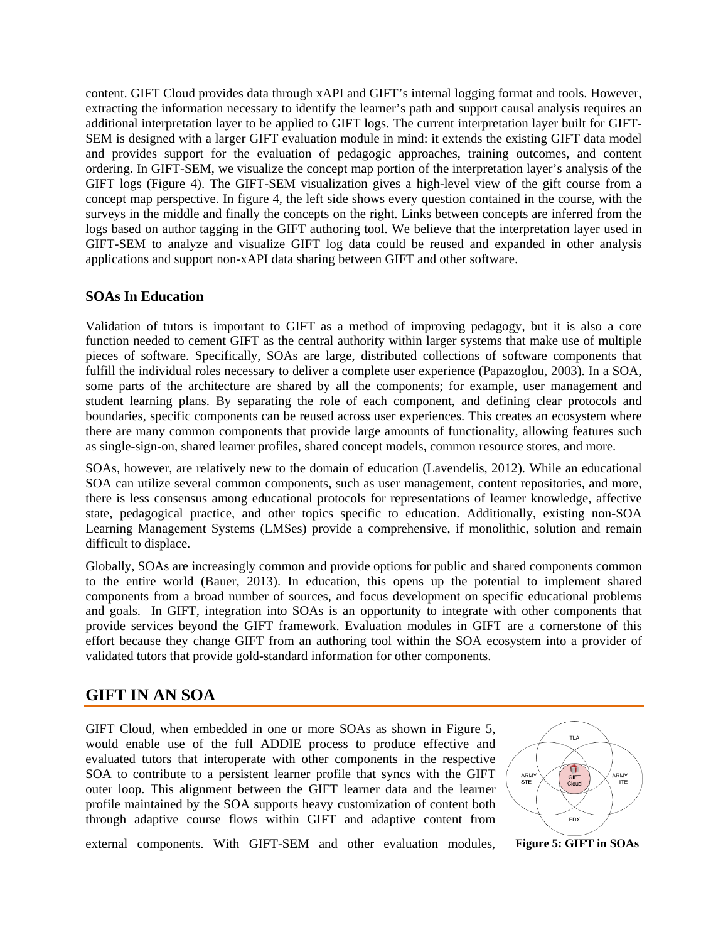content. GIFT Cloud provides data through xAPI and GIFT's internal logging format and tools. However, extracting the information necessary to identify the learner's path and support causal analysis requires an additional interpretation layer to be applied to GIFT logs. The current interpretation layer built for GIFT-SEM is designed with a larger GIFT evaluation module in mind: it extends the existing GIFT data model and provides support for the evaluation of pedagogic approaches, training outcomes, and content ordering. In GIFT-SEM, we visualize the concept map portion of the interpretation layer's analysis of the GIFT logs (Figure 4). The GIFT-SEM visualization gives a high-level view of the gift course from a concept map perspective. In figure 4, the left side shows every question contained in the course, with the surveys in the middle and finally the concepts on the right. Links between concepts are inferred from the logs based on author tagging in the GIFT authoring tool. We believe that the interpretation layer used in GIFT-SEM to analyze and visualize GIFT log data could be reused and expanded in other analysis applications and support non-xAPI data sharing between GIFT and other software.

#### **SOAs In Education**

Validation of tutors is important to GIFT as a method of improving pedagogy, but it is also a core function needed to cement GIFT as the central authority within larger systems that make use of multiple pieces of software. Specifically, SOAs are large, distributed collections of software components that fulfill the individual roles necessary to deliver a complete user experience (Papazoglou, 2003). In a SOA, some parts of the architecture are shared by all the components; for example, user management and student learning plans. By separating the role of each component, and defining clear protocols and boundaries, specific components can be reused across user experiences. This creates an ecosystem where there are many common components that provide large amounts of functionality, allowing features such as single-sign-on, shared learner profiles, shared concept models, common resource stores, and more.

SOAs, however, are relatively new to the domain of education (Lavendelis, 2012). While an educational SOA can utilize several common components, such as user management, content repositories, and more, there is less consensus among educational protocols for representations of learner knowledge, affective state, pedagogical practice, and other topics specific to education. Additionally, existing non-SOA Learning Management Systems (LMSes) provide a comprehensive, if monolithic, solution and remain difficult to displace.

Globally, SOAs are increasingly common and provide options for public and shared components common to the entire world (Bauer, 2013). In education, this opens up the potential to implement shared components from a broad number of sources, and focus development on specific educational problems and goals. In GIFT, integration into SOAs is an opportunity to integrate with other components that provide services beyond the GIFT framework. Evaluation modules in GIFT are a cornerstone of this effort because they change GIFT from an authoring tool within the SOA ecosystem into a provider of validated tutors that provide gold-standard information for other components.

### **GIFT IN AN SOA**

GIFT Cloud, when embedded in one or more SOAs as shown in Figure 5, would enable use of the full ADDIE process to produce effective and evaluated tutors that interoperate with other components in the respective SOA to contribute to a persistent learner profile that syncs with the GIFT outer loop. This alignment between the GIFT learner data and the learner profile maintained by the SOA supports heavy customization of content both through adaptive course flows within GIFT and adaptive content from



external components. With GIFT-SEM and other evaluation modules, **Figure 5: GIFT in SOAs**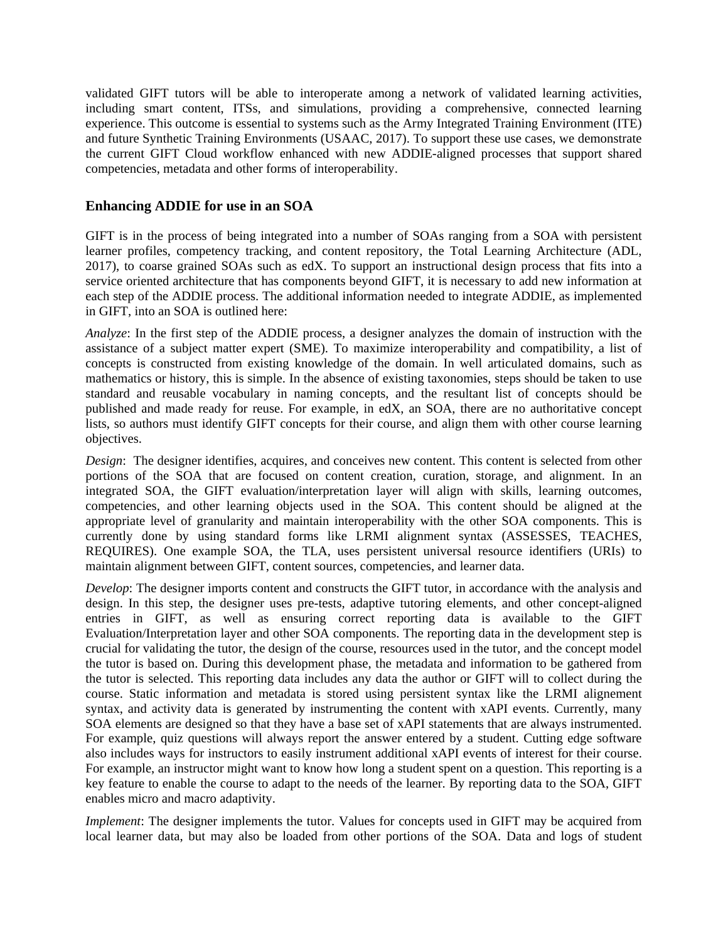validated GIFT tutors will be able to interoperate among a network of validated learning activities, including smart content, ITSs, and simulations, providing a comprehensive, connected learning experience. This outcome is essential to systems such as the Army Integrated Training Environment (ITE) and future Synthetic Training Environments (USAAC, 2017). To support these use cases, we demonstrate the current GIFT Cloud workflow enhanced with new ADDIE-aligned processes that support shared competencies, metadata and other forms of interoperability.

#### **Enhancing ADDIE for use in an SOA**

GIFT is in the process of being integrated into a number of SOAs ranging from a SOA with persistent learner profiles, competency tracking, and content repository, the Total Learning Architecture (ADL, 2017), to coarse grained SOAs such as edX. To support an instructional design process that fits into a service oriented architecture that has components beyond GIFT, it is necessary to add new information at each step of the ADDIE process. The additional information needed to integrate ADDIE, as implemented in GIFT, into an SOA is outlined here:

*Analyze*: In the first step of the ADDIE process, a designer analyzes the domain of instruction with the assistance of a subject matter expert (SME). To maximize interoperability and compatibility, a list of concepts is constructed from existing knowledge of the domain. In well articulated domains, such as mathematics or history, this is simple. In the absence of existing taxonomies, steps should be taken to use standard and reusable vocabulary in naming concepts, and the resultant list of concepts should be published and made ready for reuse. For example, in edX, an SOA, there are no authoritative concept lists, so authors must identify GIFT concepts for their course, and align them with other course learning objectives.

*Design*: The designer identifies, acquires, and conceives new content. This content is selected from other portions of the SOA that are focused on content creation, curation, storage, and alignment. In an integrated SOA, the GIFT evaluation/interpretation layer will align with skills, learning outcomes, competencies, and other learning objects used in the SOA. This content should be aligned at the appropriate level of granularity and maintain interoperability with the other SOA components. This is currently done by using standard forms like LRMI alignment syntax (ASSESSES, TEACHES, REQUIRES). One example SOA, the TLA, uses persistent universal resource identifiers (URIs) to maintain alignment between GIFT, content sources, competencies, and learner data.

*Develop*: The designer imports content and constructs the GIFT tutor, in accordance with the analysis and design. In this step, the designer uses pre-tests, adaptive tutoring elements, and other concept-aligned entries in GIFT, as well as ensuring correct reporting data is available to the GIFT Evaluation/Interpretation layer and other SOA components. The reporting data in the development step is crucial for validating the tutor, the design of the course, resources used in the tutor, and the concept model the tutor is based on. During this development phase, the metadata and information to be gathered from the tutor is selected. This reporting data includes any data the author or GIFT will to collect during the course. Static information and metadata is stored using persistent syntax like the LRMI alignement syntax, and activity data is generated by instrumenting the content with xAPI events. Currently, many SOA elements are designed so that they have a base set of xAPI statements that are always instrumented. For example, quiz questions will always report the answer entered by a student. Cutting edge software also includes ways for instructors to easily instrument additional xAPI events of interest for their course. For example, an instructor might want to know how long a student spent on a question. This reporting is a key feature to enable the course to adapt to the needs of the learner. By reporting data to the SOA, GIFT enables micro and macro adaptivity.

*Implement*: The designer implements the tutor. Values for concepts used in GIFT may be acquired from local learner data, but may also be loaded from other portions of the SOA. Data and logs of student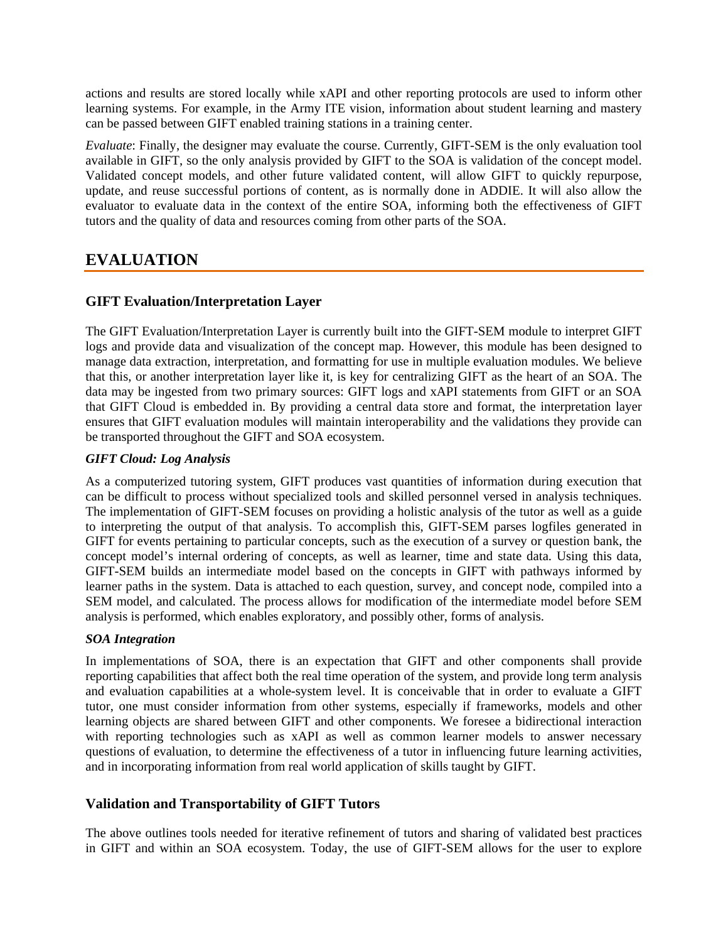actions and results are stored locally while xAPI and other reporting protocols are used to inform other learning systems. For example, in the Army ITE vision, information about student learning and mastery can be passed between GIFT enabled training stations in a training center.

*Evaluate*: Finally, the designer may evaluate the course. Currently, GIFT-SEM is the only evaluation tool available in GIFT, so the only analysis provided by GIFT to the SOA is validation of the concept model. Validated concept models, and other future validated content, will allow GIFT to quickly repurpose, update, and reuse successful portions of content, as is normally done in ADDIE. It will also allow the evaluator to evaluate data in the context of the entire SOA, informing both the effectiveness of GIFT tutors and the quality of data and resources coming from other parts of the SOA.

# **EVALUATION**

### **GIFT Evaluation/Interpretation Layer**

The GIFT Evaluation/Interpretation Layer is currently built into the GIFT-SEM module to interpret GIFT logs and provide data and visualization of the concept map. However, this module has been designed to manage data extraction, interpretation, and formatting for use in multiple evaluation modules. We believe that this, or another interpretation layer like it, is key for centralizing GIFT as the heart of an SOA. The data may be ingested from two primary sources: GIFT logs and xAPI statements from GIFT or an SOA that GIFT Cloud is embedded in. By providing a central data store and format, the interpretation layer ensures that GIFT evaluation modules will maintain interoperability and the validations they provide can be transported throughout the GIFT and SOA ecosystem.

#### *GIFT Cloud: Log Analysis*

As a computerized tutoring system, GIFT produces vast quantities of information during execution that can be difficult to process without specialized tools and skilled personnel versed in analysis techniques. The implementation of GIFT-SEM focuses on providing a holistic analysis of the tutor as well as a guide to interpreting the output of that analysis. To accomplish this, GIFT-SEM parses logfiles generated in GIFT for events pertaining to particular concepts, such as the execution of a survey or question bank, the concept model's internal ordering of concepts, as well as learner, time and state data. Using this data, GIFT-SEM builds an intermediate model based on the concepts in GIFT with pathways informed by learner paths in the system. Data is attached to each question, survey, and concept node, compiled into a SEM model, and calculated. The process allows for modification of the intermediate model before SEM analysis is performed, which enables exploratory, and possibly other, forms of analysis.

#### *SOA Integration*

In implementations of SOA, there is an expectation that GIFT and other components shall provide reporting capabilities that affect both the real time operation of the system, and provide long term analysis and evaluation capabilities at a whole-system level. It is conceivable that in order to evaluate a GIFT tutor, one must consider information from other systems, especially if frameworks, models and other learning objects are shared between GIFT and other components. We foresee a bidirectional interaction with reporting technologies such as xAPI as well as common learner models to answer necessary questions of evaluation, to determine the effectiveness of a tutor in influencing future learning activities, and in incorporating information from real world application of skills taught by GIFT.

#### **Validation and Transportability of GIFT Tutors**

The above outlines tools needed for iterative refinement of tutors and sharing of validated best practices in GIFT and within an SOA ecosystem. Today, the use of GIFT-SEM allows for the user to explore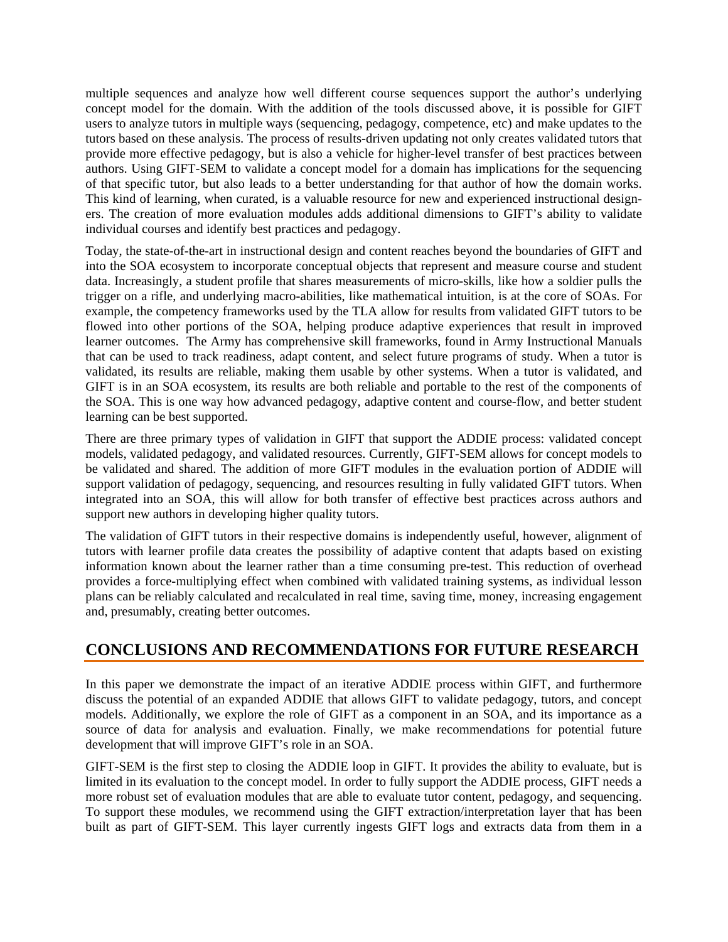multiple sequences and analyze how well different course sequences support the author's underlying concept model for the domain. With the addition of the tools discussed above, it is possible for GIFT users to analyze tutors in multiple ways (sequencing, pedagogy, competence, etc) and make updates to the tutors based on these analysis. The process of results-driven updating not only creates validated tutors that provide more effective pedagogy, but is also a vehicle for higher-level transfer of best practices between authors. Using GIFT-SEM to validate a concept model for a domain has implications for the sequencing of that specific tutor, but also leads to a better understanding for that author of how the domain works. This kind of learning, when curated, is a valuable resource for new and experienced instructional designers. The creation of more evaluation modules adds additional dimensions to GIFT's ability to validate individual courses and identify best practices and pedagogy.

Today, the state-of-the-art in instructional design and content reaches beyond the boundaries of GIFT and into the SOA ecosystem to incorporate conceptual objects that represent and measure course and student data. Increasingly, a student profile that shares measurements of micro-skills, like how a soldier pulls the trigger on a rifle, and underlying macro-abilities, like mathematical intuition, is at the core of SOAs. For example, the competency frameworks used by the TLA allow for results from validated GIFT tutors to be flowed into other portions of the SOA, helping produce adaptive experiences that result in improved learner outcomes. The Army has comprehensive skill frameworks, found in Army Instructional Manuals that can be used to track readiness, adapt content, and select future programs of study. When a tutor is validated, its results are reliable, making them usable by other systems. When a tutor is validated, and GIFT is in an SOA ecosystem, its results are both reliable and portable to the rest of the components of the SOA. This is one way how advanced pedagogy, adaptive content and course-flow, and better student learning can be best supported.

There are three primary types of validation in GIFT that support the ADDIE process: validated concept models, validated pedagogy, and validated resources. Currently, GIFT-SEM allows for concept models to be validated and shared. The addition of more GIFT modules in the evaluation portion of ADDIE will support validation of pedagogy, sequencing, and resources resulting in fully validated GIFT tutors. When integrated into an SOA, this will allow for both transfer of effective best practices across authors and support new authors in developing higher quality tutors.

The validation of GIFT tutors in their respective domains is independently useful, however, alignment of tutors with learner profile data creates the possibility of adaptive content that adapts based on existing information known about the learner rather than a time consuming pre-test. This reduction of overhead provides a force-multiplying effect when combined with validated training systems, as individual lesson plans can be reliably calculated and recalculated in real time, saving time, money, increasing engagement and, presumably, creating better outcomes.

# **CONCLUSIONS AND RECOMMENDATIONS FOR FUTURE RESEARCH**

In this paper we demonstrate the impact of an iterative ADDIE process within GIFT, and furthermore discuss the potential of an expanded ADDIE that allows GIFT to validate pedagogy, tutors, and concept models. Additionally, we explore the role of GIFT as a component in an SOA, and its importance as a source of data for analysis and evaluation. Finally, we make recommendations for potential future development that will improve GIFT's role in an SOA.

GIFT-SEM is the first step to closing the ADDIE loop in GIFT. It provides the ability to evaluate, but is limited in its evaluation to the concept model. In order to fully support the ADDIE process, GIFT needs a more robust set of evaluation modules that are able to evaluate tutor content, pedagogy, and sequencing. To support these modules, we recommend using the GIFT extraction/interpretation layer that has been built as part of GIFT-SEM. This layer currently ingests GIFT logs and extracts data from them in a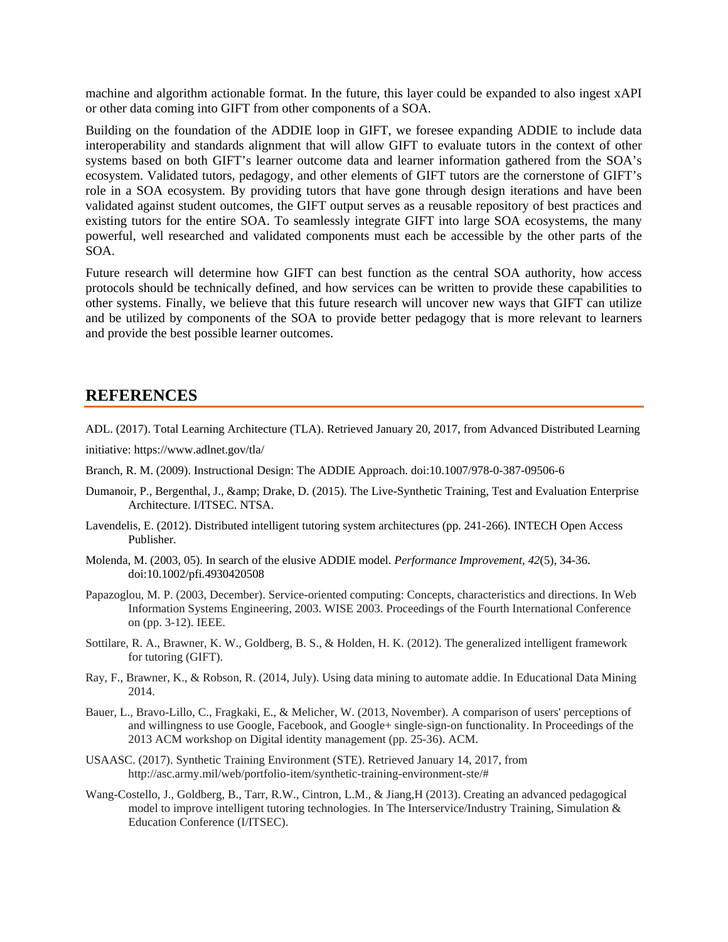machine and algorithm actionable format. In the future, this layer could be expanded to also ingest xAPI or other data coming into GIFT from other components of a SOA.

Building on the foundation of the ADDIE loop in GIFT, we foresee expanding ADDIE to include data interoperability and standards alignment that will allow GIFT to evaluate tutors in the context of other systems based on both GIFT's learner outcome data and learner information gathered from the SOA's ecosystem. Validated tutors, pedagogy, and other elements of GIFT tutors are the cornerstone of GIFT's role in a SOA ecosystem. By providing tutors that have gone through design iterations and have been validated against student outcomes, the GIFT output serves as a reusable repository of best practices and existing tutors for the entire SOA. To seamlessly integrate GIFT into large SOA ecosystems, the many powerful, well researched and validated components must each be accessible by the other parts of the SOA.

Future research will determine how GIFT can best function as the central SOA authority, how access protocols should be technically defined, and how services can be written to provide these capabilities to other systems. Finally, we believe that this future research will uncover new ways that GIFT can utilize and be utilized by components of the SOA to provide better pedagogy that is more relevant to learners and provide the best possible learner outcomes.

### **REFERENCES**

ADL. (2017). Total Learning Architecture (TLA). Retrieved January 20, 2017, from Advanced Distributed Learning

initiative: https://www.adlnet.gov/tla/

- Branch, R. M. (2009). Instructional Design: The ADDIE Approach. doi:10.1007/978-0-387-09506-6
- Dumanoir, P., Bergenthal, J., & amp; Drake, D. (2015). The Live-Synthetic Training, Test and Evaluation Enterprise Architecture. I/ITSEC. NTSA.
- Lavendelis, E. (2012). Distributed intelligent tutoring system architectures (pp. 241-266). INTECH Open Access Publisher.
- Molenda, M. (2003, 05). In search of the elusive ADDIE model. *Performance Improvement, 42*(5), 34-36. doi:10.1002/pfi.4930420508
- Papazoglou, M. P. (2003, December). Service-oriented computing: Concepts, characteristics and directions. In Web Information Systems Engineering, 2003. WISE 2003. Proceedings of the Fourth International Conference on (pp. 3-12). IEEE.
- Sottilare, R. A., Brawner, K. W., Goldberg, B. S., & Holden, H. K. (2012). The generalized intelligent framework for tutoring (GIFT).
- Ray, F., Brawner, K., & Robson, R. (2014, July). Using data mining to automate addie. In Educational Data Mining 2014.
- Bauer, L., Bravo-Lillo, C., Fragkaki, E., & Melicher, W. (2013, November). A comparison of users' perceptions of and willingness to use Google, Facebook, and Google+ single-sign-on functionality. In Proceedings of the 2013 ACM workshop on Digital identity management (pp. 25-36). ACM.
- USAASC. (2017). Synthetic Training Environment (STE). Retrieved January 14, 2017, from http://asc.army.mil/web/portfolio-item/synthetic-training-environment-ste/#
- Wang-Costello, J., Goldberg, B., Tarr, R.W., Cintron, L.M., & Jiang,H (2013). Creating an advanced pedagogical model to improve intelligent tutoring technologies. In The Interservice/Industry Training, Simulation & Education Conference (I/ITSEC).